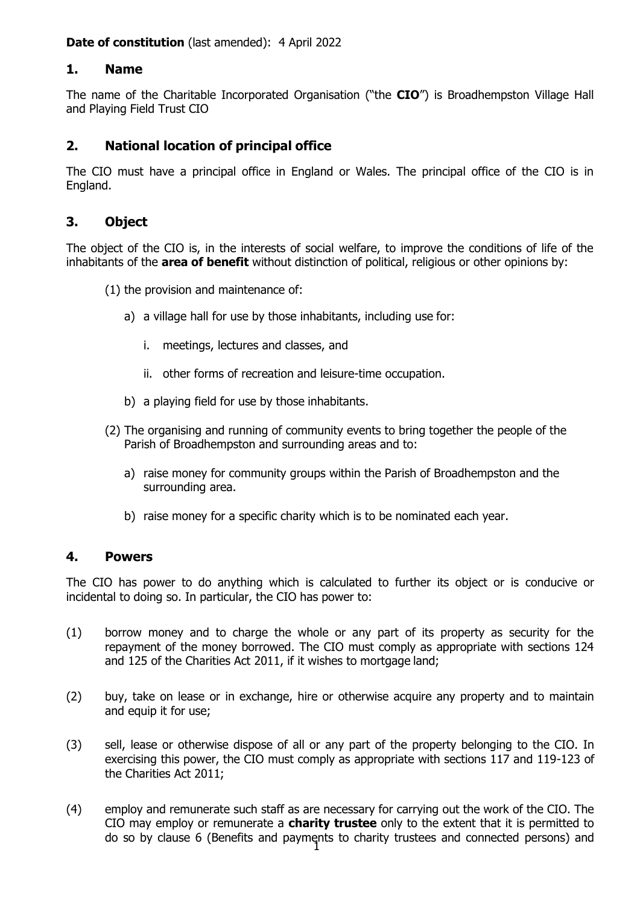## **Date of constitution** (last amended): 4 April 2022

## **1. Name**

The name of the Charitable Incorporated Organisation ("the **CIO**") is Broadhempston Village Hall and Playing Field Trust CIO

### **2. National location of principal office**

The CIO must have a principal office in England or Wales. The principal office of the CIO is in England.

#### **3. Object**

The object of the CIO is, in the interests of social welfare, to improve the conditions of life of the inhabitants of the **area of benefit** without distinction of political, religious or other opinions by:

- (1) the provision and maintenance of:
	- a) a village hall for use by those inhabitants, including use for:
		- i. meetings, lectures and classes, and
		- ii. other forms of recreation and leisure-time occupation.
	- b) a playing field for use by those inhabitants.
- (2) The organising and running of community events to bring together the people of the Parish of Broadhempston and surrounding areas and to:
	- a) raise money for community groups within the Parish of Broadhempston and the surrounding area.
	- b) raise money for a specific charity which is to be nominated each year.

#### **4. Powers**

The CIO has power to do anything which is calculated to further its object or is conducive or incidental to doing so. In particular, the CIO has power to:

- (1) borrow money and to charge the whole or any part of its property as security for the repayment of the money borrowed. The CIO must comply as appropriate with sections 124 and 125 of the Charities Act 2011, if it wishes to mortgage land;
- (2) buy, take on lease or in exchange, hire or otherwise acquire any property and to maintain and equip it for use;
- (3) sell, lease or otherwise dispose of all or any part of the property belonging to the CIO. In exercising this power, the CIO must comply as appropriate with sections 117 and 119-123 of the Charities Act 2011;
- 1 do so by clause 6 (Benefits and payments to charity trustees and connected persons) and (4) employ and remunerate such staff as are necessary for carrying out the work of the CIO. The CIO may employ or remunerate a **charity trustee** only to the extent that it is permitted to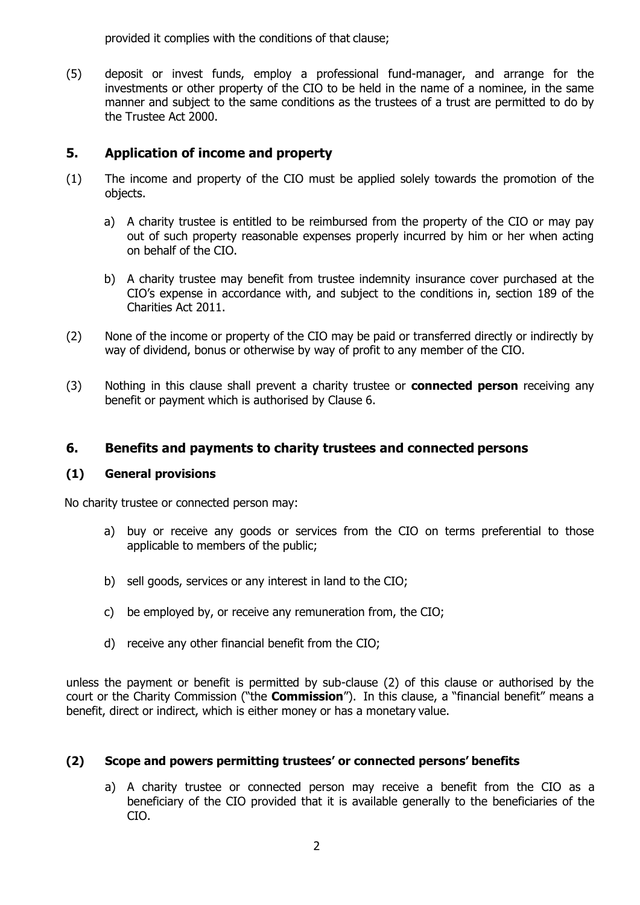provided it complies with the conditions of that clause;

(5) deposit or invest funds, employ a professional fund-manager, and arrange for the investments or other property of the CIO to be held in the name of a nominee, in the same manner and subject to the same conditions as the trustees of a trust are permitted to do by the Trustee Act 2000.

## **5. Application of income and property**

- (1) The income and property of the CIO must be applied solely towards the promotion of the objects.
	- a) A charity trustee is entitled to be reimbursed from the property of the CIO or may pay out of such property reasonable expenses properly incurred by him or her when acting on behalf of the CIO.
	- b) A charity trustee may benefit from trustee indemnity insurance cover purchased at the CIO's expense in accordance with, and subject to the conditions in, section 189 of the Charities Act 2011.
- (2) None of the income or property of the CIO may be paid or transferred directly or indirectly by way of dividend, bonus or otherwise by way of profit to any member of the CIO.
- (3) Nothing in this clause shall prevent a charity trustee or **connected person** receiving any benefit or payment which is authorised by Clause 6.

### **6. Benefits and payments to charity trustees and connected persons**

#### **(1) General provisions**

No charity trustee or connected person may:

- a) buy or receive any goods or services from the CIO on terms preferential to those applicable to members of the public;
- b) sell goods, services or any interest in land to the CIO;
- c) be employed by, or receive any remuneration from, the CIO;
- d) receive any other financial benefit from the CIO;

unless the payment or benefit is permitted by sub-clause (2) of this clause or authorised by the court or the Charity Commission ("the **Commission**"). In this clause, a "financial benefit" means a benefit, direct or indirect, which is either money or has a monetary value.

#### **(2) Scope and powers permitting trustees' or connected persons' benefits**

a) A charity trustee or connected person may receive a benefit from the CIO as a beneficiary of the CIO provided that it is available generally to the beneficiaries of the CIO.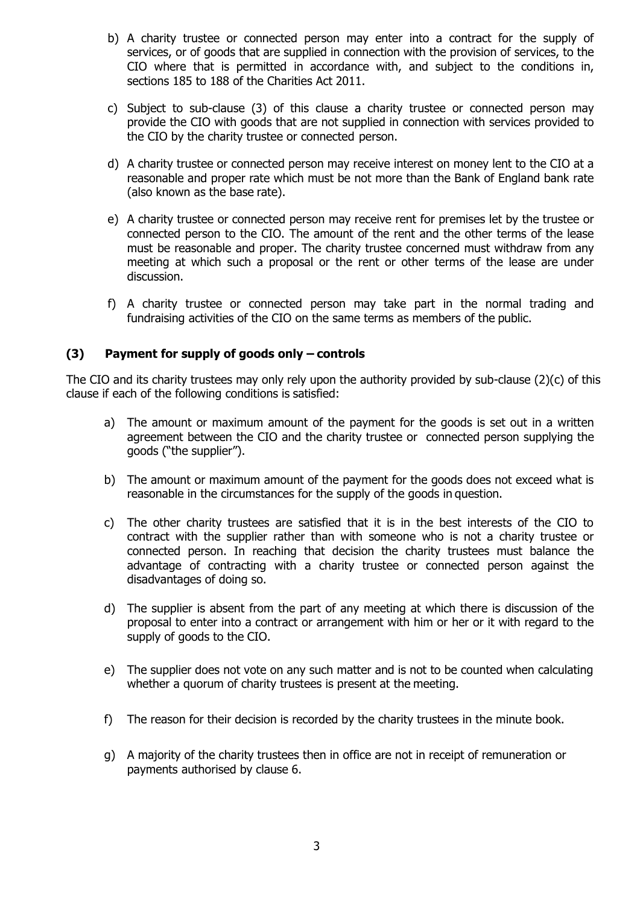- b) A charity trustee or connected person may enter into a contract for the supply of services, or of goods that are supplied in connection with the provision of services, to the CIO where that is permitted in accordance with, and subject to the conditions in, sections 185 to 188 of the Charities Act 2011.
- c) Subject to sub-clause (3) of this clause a charity trustee or connected person may provide the CIO with goods that are not supplied in connection with services provided to the CIO by the charity trustee or connected person.
- d) A charity trustee or connected person may receive interest on money lent to the CIO at a reasonable and proper rate which must be not more than the Bank of England bank rate (also known as the base rate).
- e) A charity trustee or connected person may receive rent for premises let by the trustee or connected person to the CIO. The amount of the rent and the other terms of the lease must be reasonable and proper. The charity trustee concerned must withdraw from any meeting at which such a proposal or the rent or other terms of the lease are under discussion.
- f) A charity trustee or connected person may take part in the normal trading and fundraising activities of the CIO on the same terms as members of the public.

### **(3) Payment for supply of goods only – controls**

The CIO and its charity trustees may only rely upon the authority provided by sub-clause (2)(c) of this clause if each of the following conditions is satisfied:

- a) The amount or maximum amount of the payment for the goods is set out in a written agreement between the CIO and the charity trustee or connected person supplying the goods ("the supplier").
- b) The amount or maximum amount of the payment for the goods does not exceed what is reasonable in the circumstances for the supply of the goods in question.
- c) The other charity trustees are satisfied that it is in the best interests of the CIO to contract with the supplier rather than with someone who is not a charity trustee or connected person. In reaching that decision the charity trustees must balance the advantage of contracting with a charity trustee or connected person against the disadvantages of doing so.
- d) The supplier is absent from the part of any meeting at which there is discussion of the proposal to enter into a contract or arrangement with him or her or it with regard to the supply of goods to the CIO.
- e) The supplier does not vote on any such matter and is not to be counted when calculating whether a quorum of charity trustees is present at the meeting.
- f) The reason for their decision is recorded by the charity trustees in the minute book.
- g) A majority of the charity trustees then in office are not in receipt of remuneration or payments authorised by clause 6.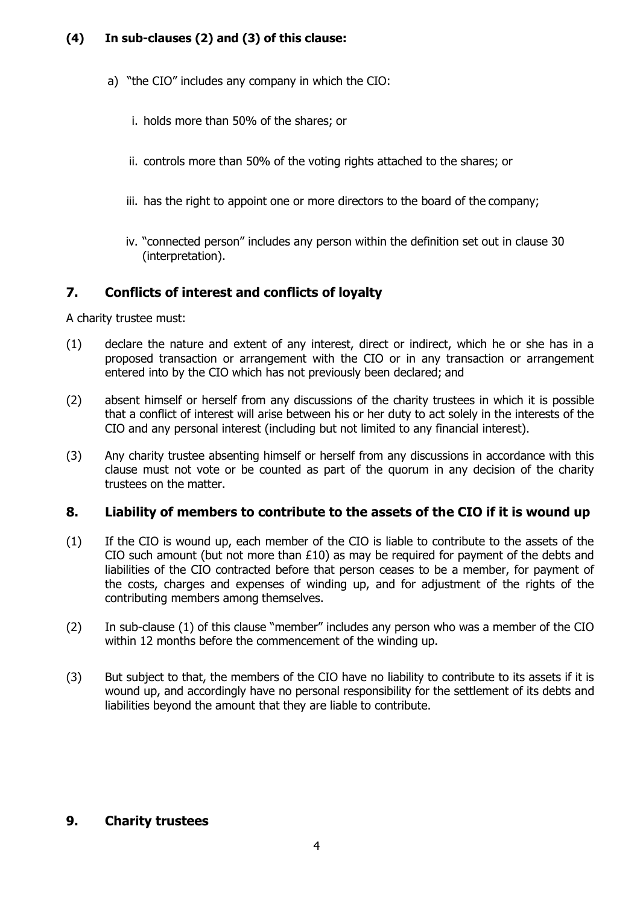# **(4) In sub-clauses (2) and (3) of this clause:**

- a) "the CIO" includes any company in which the CIO:
	- i. holds more than 50% of the shares; or
	- ii. controls more than 50% of the voting rights attached to the shares; or
	- iii. has the right to appoint one or more directors to the board of the company;
	- iv. "connected person" includes any person within the definition set out in clause 30 (interpretation).

# **7. Conflicts of interest and conflicts of loyalty**

A charity trustee must:

- (1) declare the nature and extent of any interest, direct or indirect, which he or she has in a proposed transaction or arrangement with the CIO or in any transaction or arrangement entered into by the CIO which has not previously been declared; and
- (2) absent himself or herself from any discussions of the charity trustees in which it is possible that a conflict of interest will arise between his or her duty to act solely in the interests of the CIO and any personal interest (including but not limited to any financial interest).
- (3) Any charity trustee absenting himself or herself from any discussions in accordance with this clause must not vote or be counted as part of the quorum in any decision of the charity trustees on the matter.

## **8. Liability of members to contribute to the assets of the CIO if it is wound up**

- (1) If the CIO is wound up, each member of the CIO is liable to contribute to the assets of the CIO such amount (but not more than  $£10$ ) as may be required for payment of the debts and liabilities of the CIO contracted before that person ceases to be a member, for payment of the costs, charges and expenses of winding up, and for adjustment of the rights of the contributing members among themselves.
- (2) In sub-clause (1) of this clause "member" includes any person who was a member of the CIO within 12 months before the commencement of the winding up.
- (3) But subject to that, the members of the CIO have no liability to contribute to its assets if it is wound up, and accordingly have no personal responsibility for the settlement of its debts and liabilities beyond the amount that they are liable to contribute.

## **9. Charity trustees**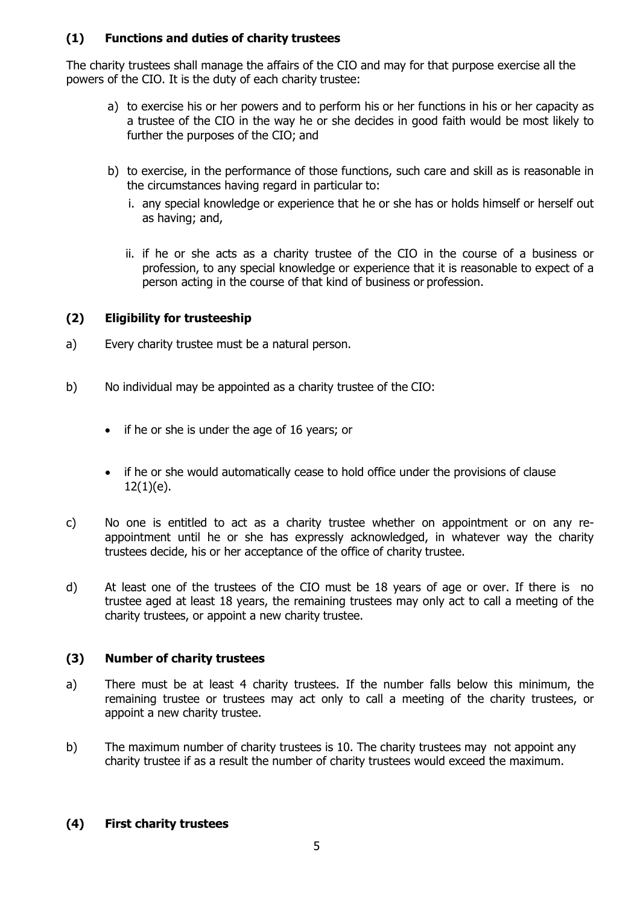## **(1) Functions and duties of charity trustees**

The charity trustees shall manage the affairs of the CIO and may for that purpose exercise all the powers of the CIO. It is the duty of each charity trustee:

- a) to exercise his or her powers and to perform his or her functions in his or her capacity as a trustee of the CIO in the way he or she decides in good faith would be most likely to further the purposes of the CIO; and
- b) to exercise, in the performance of those functions, such care and skill as is reasonable in the circumstances having regard in particular to:
	- i. any special knowledge or experience that he or she has or holds himself or herself out as having; and,
	- ii. if he or she acts as a charity trustee of the CIO in the course of a business or profession, to any special knowledge or experience that it is reasonable to expect of a person acting in the course of that kind of business or profession.

#### **(2) Eligibility for trusteeship**

- a) Every charity trustee must be a natural person.
- b) No individual may be appointed as a charity trustee of the CIO:
	- if he or she is under the age of 16 years; or
	- if he or she would automatically cease to hold office under the provisions of clause  $12(1)(e)$ .
- c) No one is entitled to act as a charity trustee whether on appointment or on any reappointment until he or she has expressly acknowledged, in whatever way the charity trustees decide, his or her acceptance of the office of charity trustee.
- d) At least one of the trustees of the CIO must be 18 years of age or over. If there is no trustee aged at least 18 years, the remaining trustees may only act to call a meeting of the charity trustees, or appoint a new charity trustee.

#### **(3) Number of charity trustees**

- a) There must be at least 4 charity trustees. If the number falls below this minimum, the remaining trustee or trustees may act only to call a meeting of the charity trustees, or appoint a new charity trustee.
- b) The maximum number of charity trustees is 10. The charity trustees may not appoint any charity trustee if as a result the number of charity trustees would exceed the maximum.

#### **(4) First charity trustees**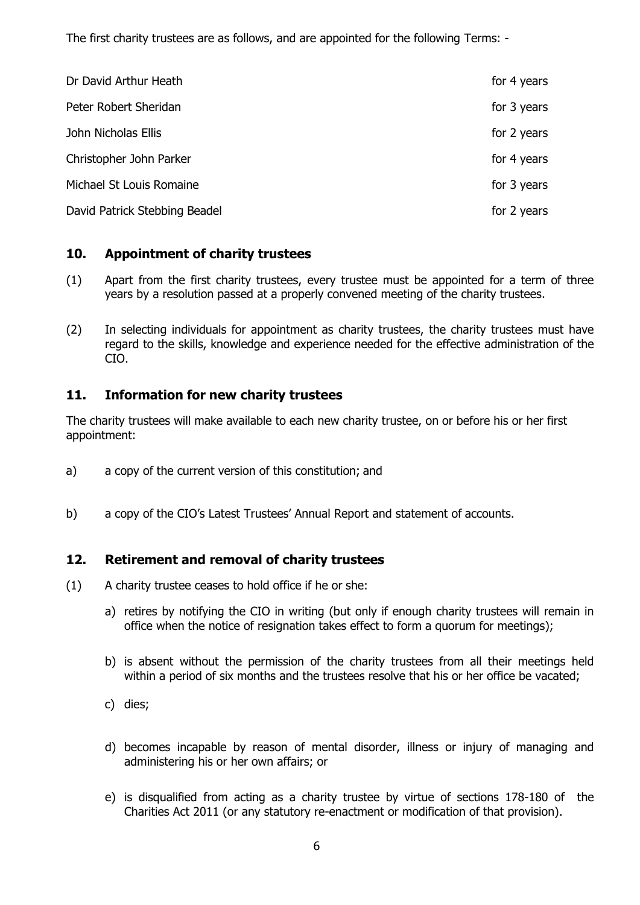The first charity trustees are as follows, and are appointed for the following Terms: -

| Dr David Arthur Heath         | for 4 years |
|-------------------------------|-------------|
| Peter Robert Sheridan         | for 3 years |
| John Nicholas Ellis           | for 2 years |
| Christopher John Parker       | for 4 years |
| Michael St Louis Romaine      | for 3 years |
| David Patrick Stebbing Beadel | for 2 years |

### **10. Appointment of charity trustees**

- (1) Apart from the first charity trustees, every trustee must be appointed for a term of three years by a resolution passed at a properly convened meeting of the charity trustees.
- (2) In selecting individuals for appointment as charity trustees, the charity trustees must have regard to the skills, knowledge and experience needed for the effective administration of the CIO.

### **11. Information for new charity trustees**

The charity trustees will make available to each new charity trustee, on or before his or her first appointment:

- a) a copy of the current version of this constitution; and
- b) a copy of the CIO's Latest Trustees' Annual Report and statement of accounts.

#### **12. Retirement and removal of charity trustees**

- (1) A charity trustee ceases to hold office if he or she:
	- a) retires by notifying the CIO in writing (but only if enough charity trustees will remain in office when the notice of resignation takes effect to form a quorum for meetings);
	- b) is absent without the permission of the charity trustees from all their meetings held within a period of six months and the trustees resolve that his or her office be vacated;
	- c) dies;
	- d) becomes incapable by reason of mental disorder, illness or injury of managing and administering his or her own affairs; or
	- e) is disqualified from acting as a charity trustee by virtue of sections 178-180 of the Charities Act 2011 (or any statutory re-enactment or modification of that provision).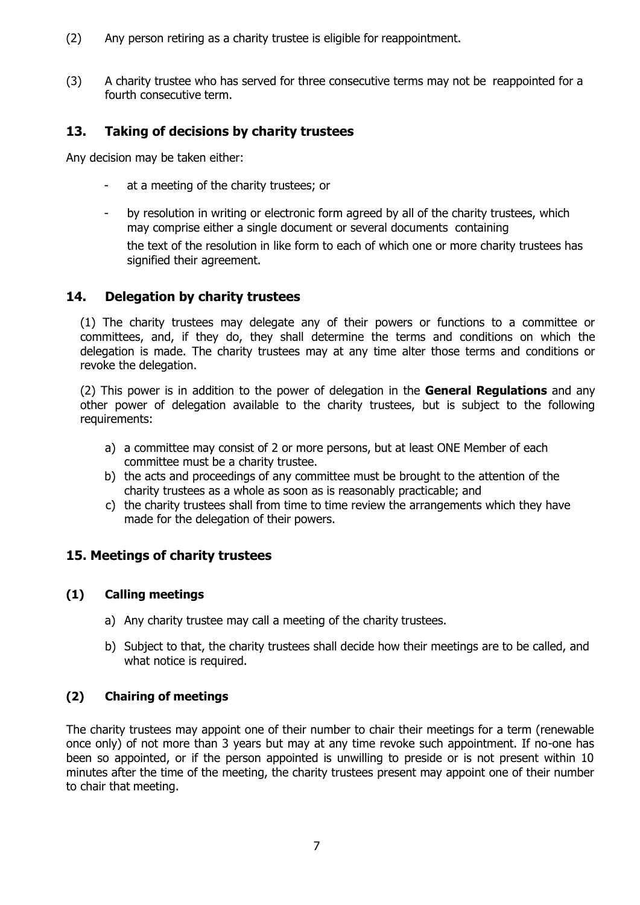- (2) Any person retiring as a charity trustee is eligible for reappointment.
- (3) A charity trustee who has served for three consecutive terms may not be reappointed for a fourth consecutive term.

# **13. Taking of decisions by charity trustees**

Any decision may be taken either:

- at a meeting of the charity trustees; or
- by resolution in writing or electronic form agreed by all of the charity trustees, which may comprise either a single document or several documents containing the text of the resolution in like form to each of which one or more charity trustees has signified their agreement.

## **14. Delegation by charity trustees**

(1) The charity trustees may delegate any of their powers or functions to a committee or committees, and, if they do, they shall determine the terms and conditions on which the delegation is made. The charity trustees may at any time alter those terms and conditions or revoke the delegation.

(2) This power is in addition to the power of delegation in the **General Regulations** and any other power of delegation available to the charity trustees, but is subject to the following requirements:

- a) a committee may consist of 2 or more persons, but at least ONE Member of each committee must be a charity trustee.
- b) the acts and proceedings of any committee must be brought to the attention of the charity trustees as a whole as soon as is reasonably practicable; and
- c) the charity trustees shall from time to time review the arrangements which they have made for the delegation of their powers.

#### **15. Meetings of charity trustees**

#### **(1) Calling meetings**

- a) Any charity trustee may call a meeting of the charity trustees.
- b) Subject to that, the charity trustees shall decide how their meetings are to be called, and what notice is required.

#### **(2) Chairing of meetings**

The charity trustees may appoint one of their number to chair their meetings for a term (renewable once only) of not more than 3 years but may at any time revoke such appointment. If no-one has been so appointed, or if the person appointed is unwilling to preside or is not present within 10 minutes after the time of the meeting, the charity trustees present may appoint one of their number to chair that meeting.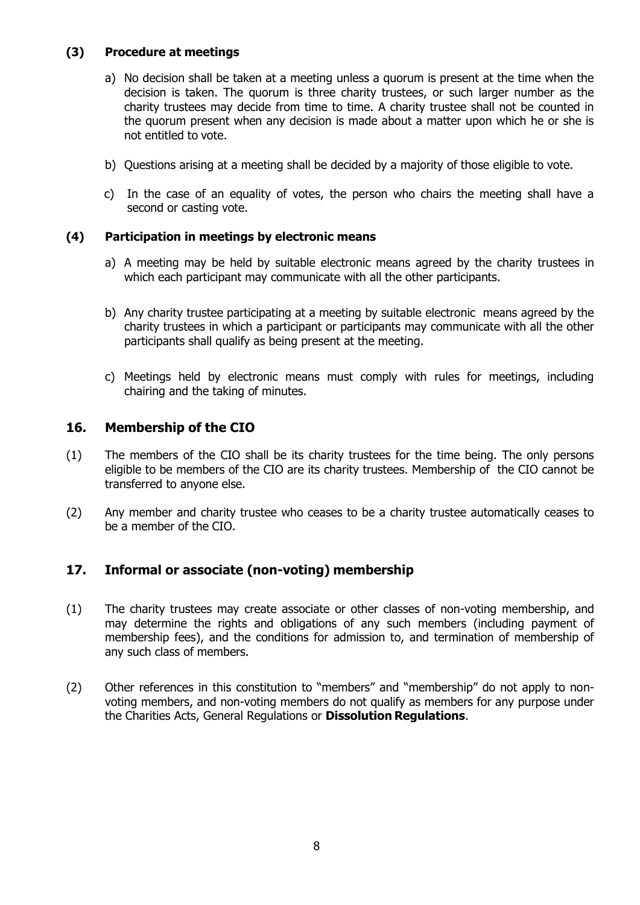#### **(3) Procedure at meetings**

- a) No decision shall be taken at a meeting unless a quorum is present at the time when the decision is taken. The quorum is three charity trustees, or such larger number as the charity trustees may decide from time to time. A charity trustee shall not be counted in the quorum present when any decision is made about a matter upon which he or she is not entitled to vote.
- b) Questions arising at a meeting shall be decided by a majority of those eligible to vote.
- c) In the case of an equality of votes, the person who chairs the meeting shall have a second or casting vote.

#### **(4) Participation in meetings by electronic means**

- a) A meeting may be held by suitable electronic means agreed by the charity trustees in which each participant may communicate with all the other participants.
- b) Any charity trustee participating at a meeting by suitable electronic means agreed by the charity trustees in which a participant or participants may communicate with all the other participants shall qualify as being present at the meeting.
- c) Meetings held by electronic means must comply with rules for meetings, including chairing and the taking of minutes.

#### **16. Membership of the CIO**

- (1) The members of the CIO shall be its charity trustees for the time being. The only persons eligible to be members of the CIO are its charity trustees. Membership of the CIO cannot be transferred to anyone else.
- (2) Any member and charity trustee who ceases to be a charity trustee automatically ceases to be a member of the CIO.

## **17. Informal or associate (non-voting) membership**

- (1) The charity trustees may create associate or other classes of non-voting membership, and may determine the rights and obligations of any such members (including payment of membership fees), and the conditions for admission to, and termination of membership of any such class of members.
- (2) Other references in this constitution to "members" and "membership" do not apply to nonvoting members, and non-voting members do not qualify as members for any purpose under the Charities Acts, General Regulations or **Dissolution Regulations**.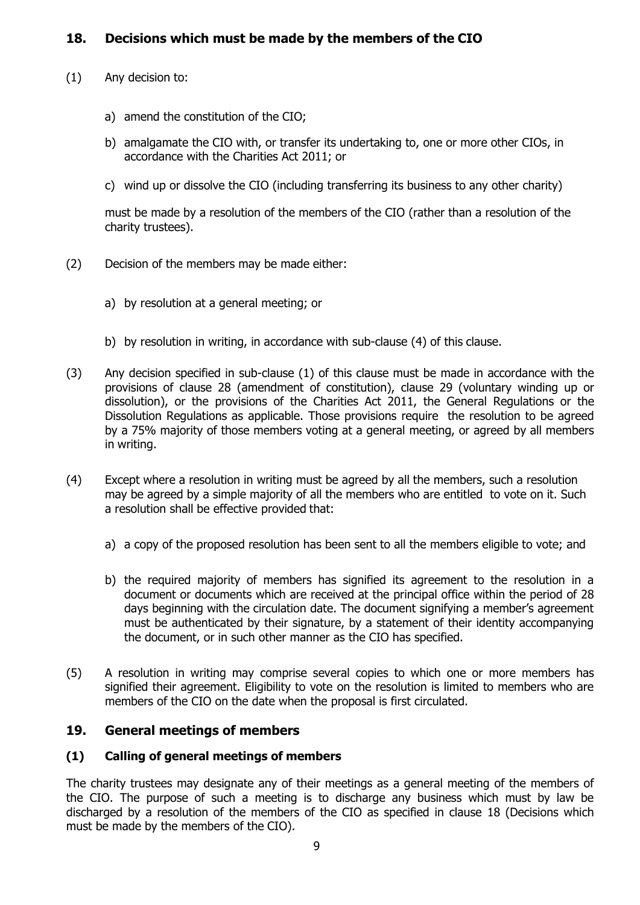# **18. Decisions which must be made by the members of the CIO**

- (1) Any decision to:
	- a) amend the constitution of the CIO;
	- b) amalgamate the CIO with, or transfer its undertaking to, one or more other CIOs, in accordance with the Charities Act 2011; or
	- c) wind up or dissolve the CIO (including transferring its business to any other charity)

must be made by a resolution of the members of the CIO (rather than a resolution of the charity trustees).

- (2) Decision of the members may be made either:
	- a) by resolution at a general meeting; or
	- b) by resolution in writing, in accordance with sub-clause (4) of this clause.
- (3) Any decision specified in sub-clause (1) of this clause must be made in accordance with the provisions of clause 28 (amendment of constitution), clause 29 (voluntary winding up or dissolution), or the provisions of the Charities Act 2011, the General Regulations or the Dissolution Regulations as applicable. Those provisions require the resolution to be agreed by a 75% majority of those members voting at a general meeting, or agreed by all members in writing.
- (4) Except where a resolution in writing must be agreed by all the members, such a resolution may be agreed by a simple majority of all the members who are entitled to vote on it. Such a resolution shall be effective provided that:
	- a) a copy of the proposed resolution has been sent to all the members eligible to vote; and
	- b) the required majority of members has signified its agreement to the resolution in a document or documents which are received at the principal office within the period of 28 days beginning with the circulation date. The document signifying a member's agreement must be authenticated by their signature, by a statement of their identity accompanying the document, or in such other manner as the CIO has specified.
- (5) A resolution in writing may comprise several copies to which one or more members has signified their agreement. Eligibility to vote on the resolution is limited to members who are members of the CIO on the date when the proposal is first circulated.

## **19. General meetings of members**

#### **(1) Calling of general meetings of members**

The charity trustees may designate any of their meetings as a general meeting of the members of the CIO. The purpose of such a meeting is to discharge any business which must by law be discharged by a resolution of the members of the CIO as specified in clause 18 (Decisions which must be made by the members of the CIO).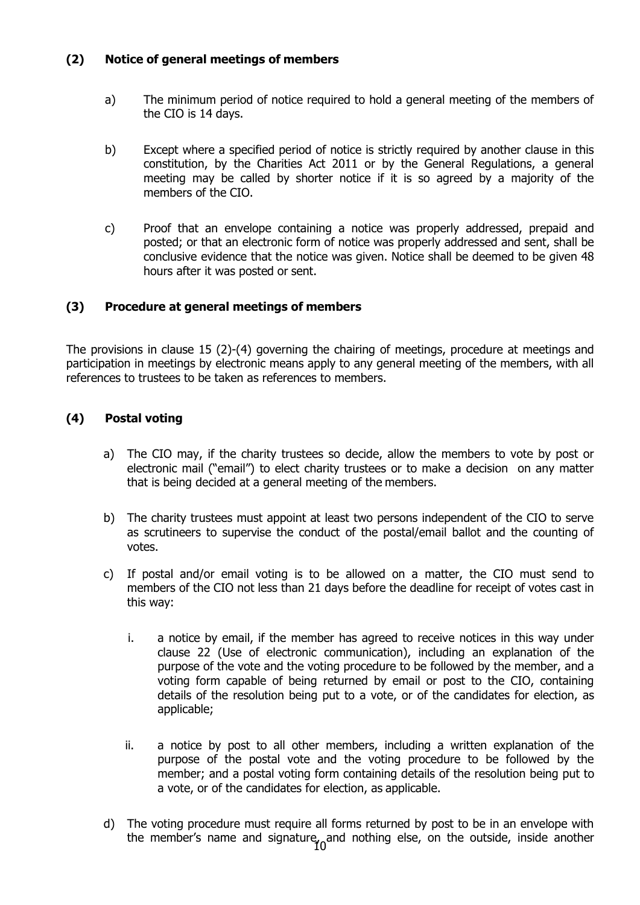#### **(2) Notice of general meetings of members**

- a) The minimum period of notice required to hold a general meeting of the members of the CIO is 14 days.
- b) Except where a specified period of notice is strictly required by another clause in this constitution, by the Charities Act 2011 or by the General Regulations, a general meeting may be called by shorter notice if it is so agreed by a majority of the members of the CIO.
- c) Proof that an envelope containing a notice was properly addressed, prepaid and posted; or that an electronic form of notice was properly addressed and sent, shall be conclusive evidence that the notice was given. Notice shall be deemed to be given 48 hours after it was posted or sent.

#### **(3) Procedure at general meetings of members**

The provisions in clause 15 (2)-(4) governing the chairing of meetings, procedure at meetings and participation in meetings by electronic means apply to any general meeting of the members, with all references to trustees to be taken as references to members.

#### **(4) Postal voting**

- a) The CIO may, if the charity trustees so decide, allow the members to vote by post or electronic mail ("email") to elect charity trustees or to make a decision on any matter that is being decided at a general meeting of the members.
- b) The charity trustees must appoint at least two persons independent of the CIO to serve as scrutineers to supervise the conduct of the postal/email ballot and the counting of votes.
- c) If postal and/or email voting is to be allowed on a matter, the CIO must send to members of the CIO not less than 21 days before the deadline for receipt of votes cast in this way:
	- i. a notice by email, if the member has agreed to receive notices in this way under clause 22 (Use of electronic communication), including an explanation of the purpose of the vote and the voting procedure to be followed by the member, and a voting form capable of being returned by email or post to the CIO, containing details of the resolution being put to a vote, or of the candidates for election, as applicable;
	- ii. a notice by post to all other members, including a written explanation of the purpose of the postal vote and the voting procedure to be followed by the member; and a postal voting form containing details of the resolution being put to a vote, or of the candidates for election, as applicable.
- the member's name and signature, and nothing else, on the outside, inside another d) The voting procedure must require all forms returned by post to be in an envelope with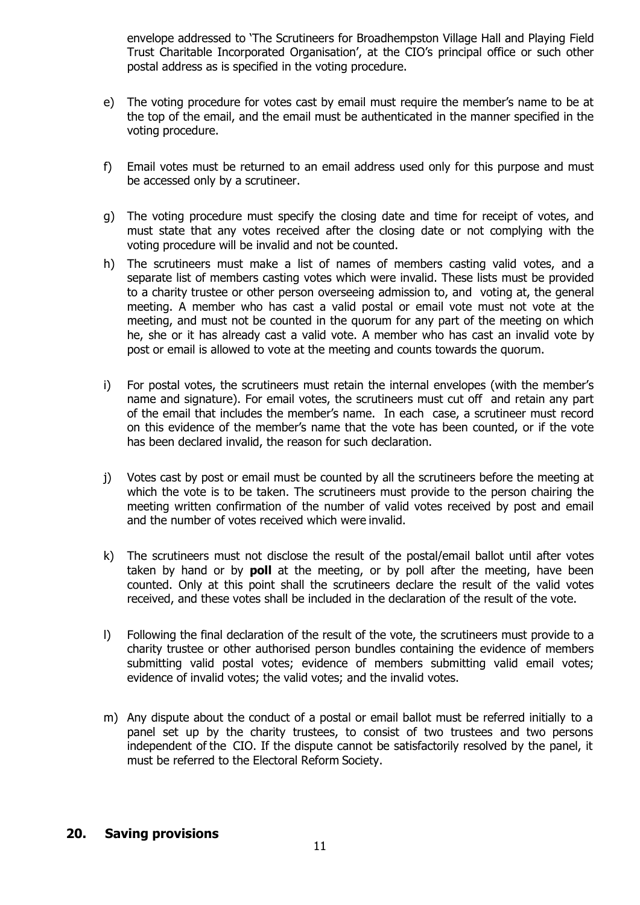envelope addressed to 'The Scrutineers for Broadhempston Village Hall and Playing Field Trust Charitable Incorporated Organisation', at the CIO's principal office or such other postal address as is specified in the voting procedure.

- e) The voting procedure for votes cast by email must require the member's name to be at the top of the email, and the email must be authenticated in the manner specified in the voting procedure.
- f) Email votes must be returned to an email address used only for this purpose and must be accessed only by a scrutineer.
- g) The voting procedure must specify the closing date and time for receipt of votes, and must state that any votes received after the closing date or not complying with the voting procedure will be invalid and not be counted.
- h) The scrutineers must make a list of names of members casting valid votes, and a separate list of members casting votes which were invalid. These lists must be provided to a charity trustee or other person overseeing admission to, and voting at, the general meeting. A member who has cast a valid postal or email vote must not vote at the meeting, and must not be counted in the quorum for any part of the meeting on which he, she or it has already cast a valid vote. A member who has cast an invalid vote by post or email is allowed to vote at the meeting and counts towards the quorum.
- i) For postal votes, the scrutineers must retain the internal envelopes (with the member's name and signature). For email votes, the scrutineers must cut off and retain any part of the email that includes the member's name. In each case, a scrutineer must record on this evidence of the member's name that the vote has been counted, or if the vote has been declared invalid, the reason for such declaration.
- j) Votes cast by post or email must be counted by all the scrutineers before the meeting at which the vote is to be taken. The scrutineers must provide to the person chairing the meeting written confirmation of the number of valid votes received by post and email and the number of votes received which were invalid.
- k) The scrutineers must not disclose the result of the postal/email ballot until after votes taken by hand or by **poll** at the meeting, or by poll after the meeting, have been counted. Only at this point shall the scrutineers declare the result of the valid votes received, and these votes shall be included in the declaration of the result of the vote.
- l) Following the final declaration of the result of the vote, the scrutineers must provide to a charity trustee or other authorised person bundles containing the evidence of members submitting valid postal votes; evidence of members submitting valid email votes; evidence of invalid votes; the valid votes; and the invalid votes.
- m) Any dispute about the conduct of a postal or email ballot must be referred initially to a panel set up by the charity trustees, to consist of two trustees and two persons independent of the CIO. If the dispute cannot be satisfactorily resolved by the panel, it must be referred to the Electoral Reform Society.

#### **20. Saving provisions**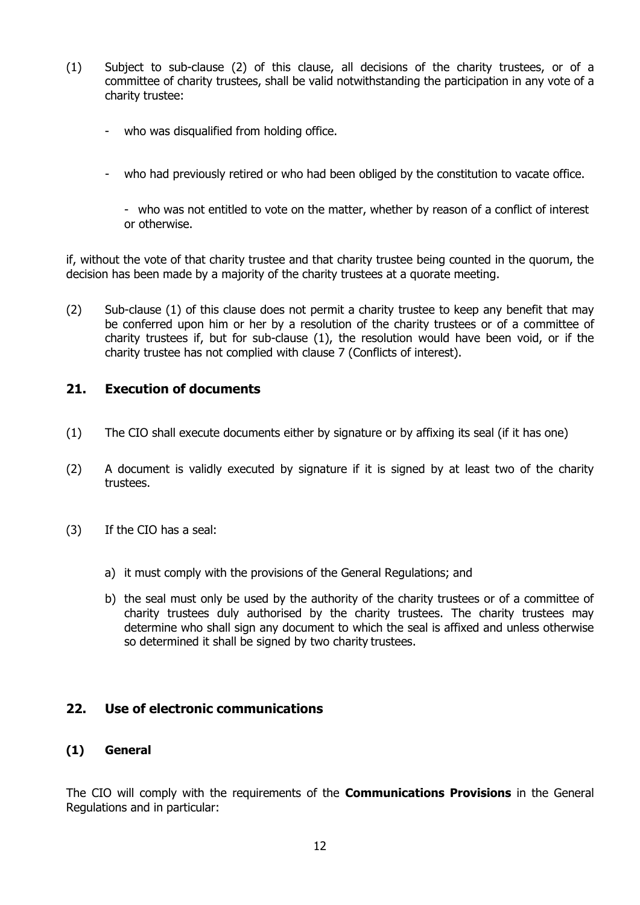- (1) Subject to sub-clause (2) of this clause, all decisions of the charity trustees, or of a committee of charity trustees, shall be valid notwithstanding the participation in any vote of a charity trustee:
	- who was disqualified from holding office.
	- who had previously retired or who had been obliged by the constitution to vacate office.

- who was not entitled to vote on the matter, whether by reason of a conflict of interest or otherwise.

if, without the vote of that charity trustee and that charity trustee being counted in the quorum, the decision has been made by a majority of the charity trustees at a quorate meeting.

(2) Sub-clause (1) of this clause does not permit a charity trustee to keep any benefit that may be conferred upon him or her by a resolution of the charity trustees or of a committee of charity trustees if, but for sub-clause (1), the resolution would have been void, or if the charity trustee has not complied with clause 7 (Conflicts of interest).

### **21. Execution of documents**

- (1) The CIO shall execute documents either by signature or by affixing its seal (if it has one)
- (2) A document is validly executed by signature if it is signed by at least two of the charity trustees.
- (3) If the CIO has a seal:
	- a) it must comply with the provisions of the General Regulations; and
	- b) the seal must only be used by the authority of the charity trustees or of a committee of charity trustees duly authorised by the charity trustees. The charity trustees may determine who shall sign any document to which the seal is affixed and unless otherwise so determined it shall be signed by two charity trustees.

## **22. Use of electronic communications**

#### **(1) General**

The CIO will comply with the requirements of the **Communications Provisions** in the General Regulations and in particular: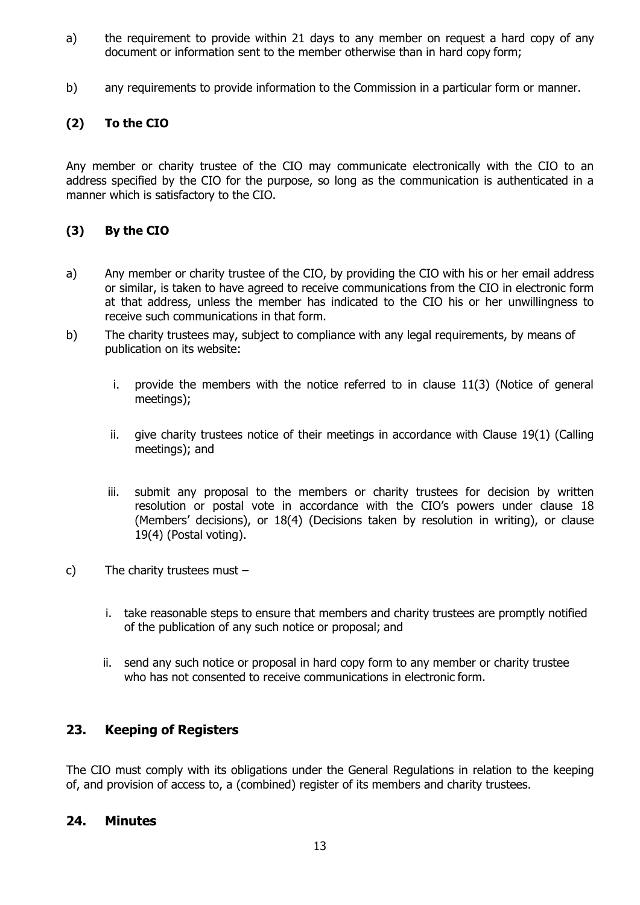- a) the requirement to provide within 21 days to any member on request a hard copy of any document or information sent to the member otherwise than in hard copy form;
- b) any requirements to provide information to the Commission in a particular form or manner.

## **(2) To the CIO**

Any member or charity trustee of the CIO may communicate electronically with the CIO to an address specified by the CIO for the purpose, so long as the communication is authenticated in a manner which is satisfactory to the CIO.

#### **(3) By the CIO**

- a) Any member or charity trustee of the CIO, by providing the CIO with his or her email address or similar, is taken to have agreed to receive communications from the CIO in electronic form at that address, unless the member has indicated to the CIO his or her unwillingness to receive such communications in that form.
- b) The charity trustees may, subject to compliance with any legal requirements, by means of publication on its website:
	- i. provide the members with the notice referred to in clause 11(3) (Notice of general meetings);
	- ii. give charity trustees notice of their meetings in accordance with Clause 19(1) (Calling meetings); and
	- iii. submit any proposal to the members or charity trustees for decision by written resolution or postal vote in accordance with the CIO's powers under clause 18 (Members' decisions), or 18(4) (Decisions taken by resolution in writing), or clause 19(4) (Postal voting).
- c) The charity trustees must
	- i. take reasonable steps to ensure that members and charity trustees are promptly notified of the publication of any such notice or proposal; and
	- ii. send any such notice or proposal in hard copy form to any member or charity trustee who has not consented to receive communications in electronic form.

#### **23. Keeping of Registers**

The CIO must comply with its obligations under the General Regulations in relation to the keeping of, and provision of access to, a (combined) register of its members and charity trustees.

#### **24. Minutes**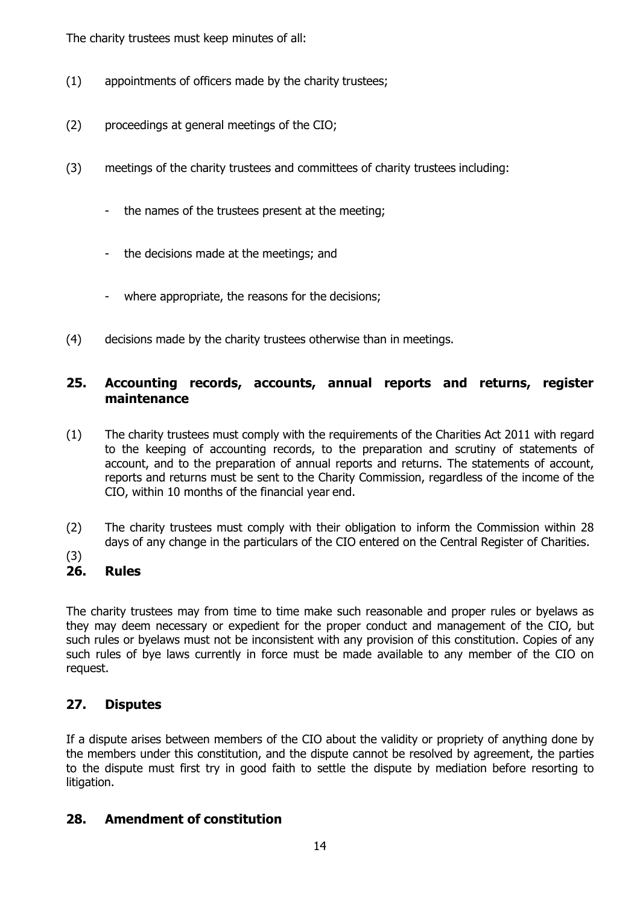The charity trustees must keep minutes of all:

- (1) appointments of officers made by the charity trustees;
- (2) proceedings at general meetings of the CIO;
- (3) meetings of the charity trustees and committees of charity trustees including:
	- the names of the trustees present at the meeting;
	- the decisions made at the meetings; and
	- where appropriate, the reasons for the decisions;
- (4) decisions made by the charity trustees otherwise than in meetings.

## **25. Accounting records, accounts, annual reports and returns, register maintenance**

- (1) The charity trustees must comply with the requirements of the Charities Act 2011 with regard to the keeping of accounting records, to the preparation and scrutiny of statements of account, and to the preparation of annual reports and returns. The statements of account, reports and returns must be sent to the Charity Commission, regardless of the income of the CIO, within 10 months of the financial year end.
- (2) The charity trustees must comply with their obligation to inform the Commission within 28 days of any change in the particulars of the CIO entered on the Central Register of Charities.
- (3)

## **26. Rules**

The charity trustees may from time to time make such reasonable and proper rules or byelaws as they may deem necessary or expedient for the proper conduct and management of the CIO, but such rules or byelaws must not be inconsistent with any provision of this constitution. Copies of any such rules of bye laws currently in force must be made available to any member of the CIO on request.

# **27. Disputes**

If a dispute arises between members of the CIO about the validity or propriety of anything done by the members under this constitution, and the dispute cannot be resolved by agreement, the parties to the dispute must first try in good faith to settle the dispute by mediation before resorting to litigation.

## **28. Amendment of constitution**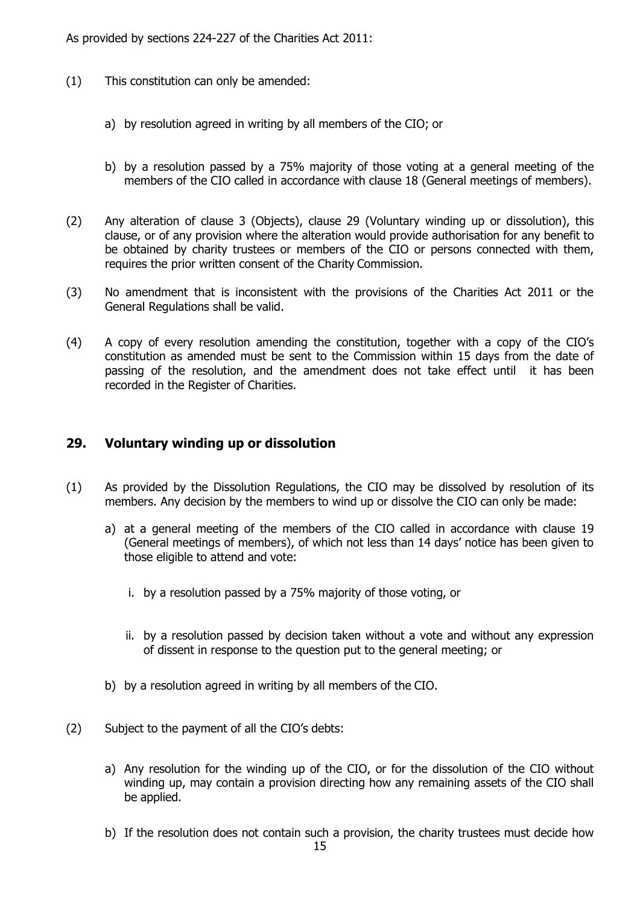- (1) This constitution can only be amended:
	- a) by resolution agreed in writing by all members of the CIO; or
	- b) by a resolution passed by a 75% majority of those voting at a general meeting of the members of the CIO called in accordance with clause 18 (General meetings of members).
- (2) Any alteration of clause 3 (Objects), clause 29 (Voluntary winding up or dissolution), this clause, or of any provision where the alteration would provide authorisation for any benefit to be obtained by charity trustees or members of the CIO or persons connected with them, requires the prior written consent of the Charity Commission.
- (3) No amendment that is inconsistent with the provisions of the Charities Act 2011 or the General Regulations shall be valid.
- (4) A copy of every resolution amending the constitution, together with a copy of the CIO's constitution as amended must be sent to the Commission within 15 days from the date of passing of the resolution, and the amendment does not take effect until it has been recorded in the Register of Charities.

#### **29. Voluntary winding up or dissolution**

- (1) As provided by the Dissolution Regulations, the CIO may be dissolved by resolution of its members. Any decision by the members to wind up or dissolve the CIO can only be made:
	- a) at a general meeting of the members of the CIO called in accordance with clause 19 (General meetings of members), of which not less than 14 days' notice has been given to those eligible to attend and vote:
		- i. by a resolution passed by a 75% majority of those voting, or
		- ii. by a resolution passed by decision taken without a vote and without any expression of dissent in response to the question put to the general meeting; or
	- b) by a resolution agreed in writing by all members of the CIO.
- (2) Subject to the payment of all the CIO's debts:
	- a) Any resolution for the winding up of the CIO, or for the dissolution of the CIO without winding up, may contain a provision directing how any remaining assets of the CIO shall be applied.
	- b) If the resolution does not contain such a provision, the charity trustees must decide how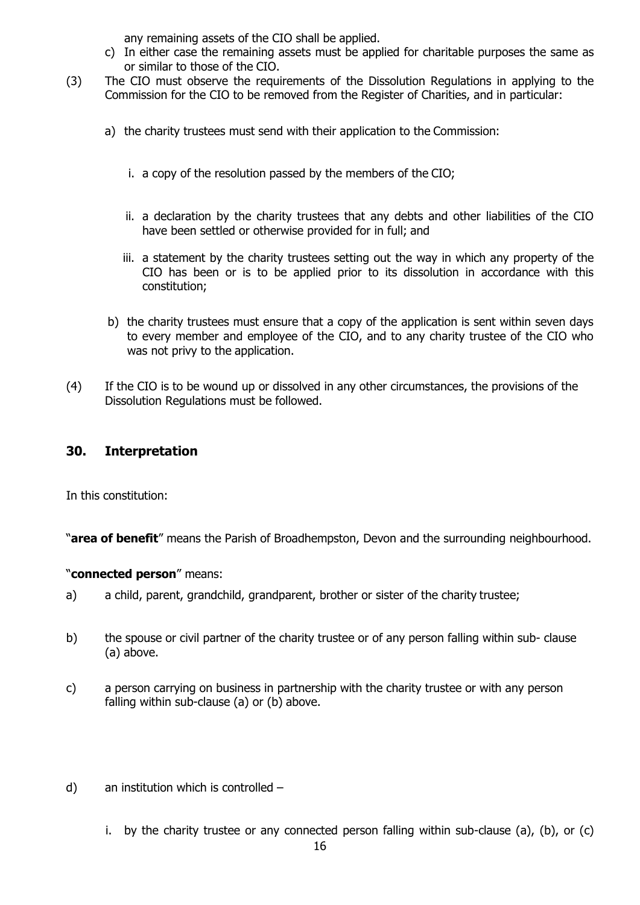any remaining assets of the CIO shall be applied.

- c) In either case the remaining assets must be applied for charitable purposes the same as or similar to those of the CIO.
- (3) The CIO must observe the requirements of the Dissolution Regulations in applying to the Commission for the CIO to be removed from the Register of Charities, and in particular:
	- a) the charity trustees must send with their application to the Commission:
		- i. a copy of the resolution passed by the members of the CIO;
		- ii. a declaration by the charity trustees that any debts and other liabilities of the CIO have been settled or otherwise provided for in full; and
		- iii. a statement by the charity trustees setting out the way in which any property of the CIO has been or is to be applied prior to its dissolution in accordance with this constitution;
	- b) the charity trustees must ensure that a copy of the application is sent within seven days to every member and employee of the CIO, and to any charity trustee of the CIO who was not privy to the application.
- (4) If the CIO is to be wound up or dissolved in any other circumstances, the provisions of the Dissolution Regulations must be followed.

# **30. Interpretation**

In this constitution:

"**area of benefit**" means the Parish of Broadhempston, Devon and the surrounding neighbourhood.

#### "**connected person**" means:

- a) a child, parent, grandchild, grandparent, brother or sister of the charity trustee;
- b) the spouse or civil partner of the charity trustee or of any person falling within sub- clause (a) above.
- c) a person carrying on business in partnership with the charity trustee or with any person falling within sub-clause (a) or (b) above.
- d) an institution which is controlled
	- i. by the charity trustee or any connected person falling within sub-clause (a), (b), or (c)